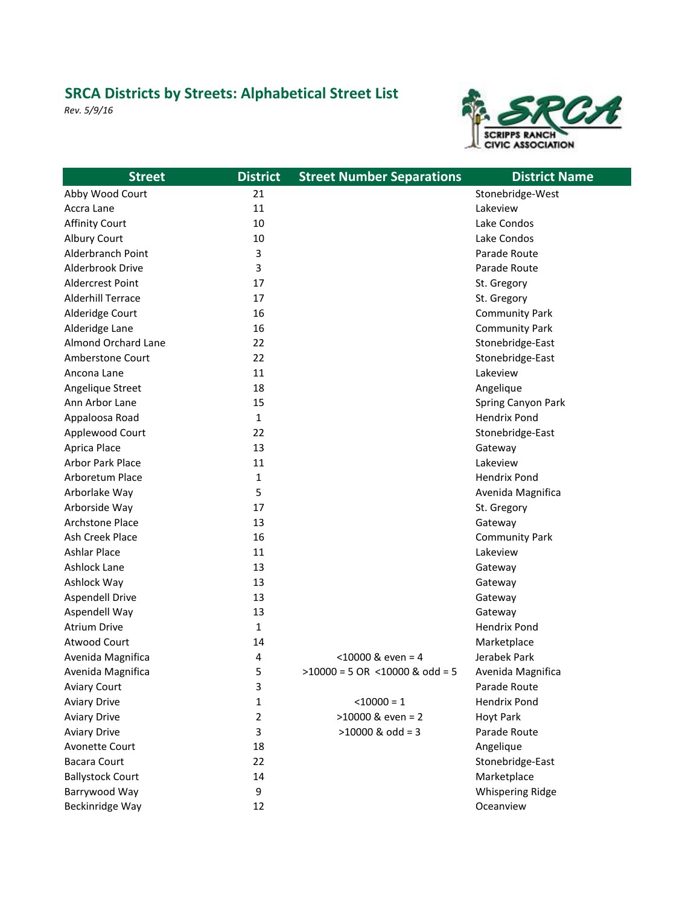## **SRCA Districts by Streets: Alphabetical Street List**

*Rev. 5/9/16*



| <b>Street</b>            | <b>District</b> | <b>Street Number Separations</b> | <b>District Name</b>    |
|--------------------------|-----------------|----------------------------------|-------------------------|
| Abby Wood Court          | 21              |                                  | Stonebridge-West        |
| Accra Lane               | 11              |                                  | Lakeview                |
| <b>Affinity Court</b>    | 10              |                                  | Lake Condos             |
| Albury Court             | 10              |                                  | Lake Condos             |
| Alderbranch Point        | 3               |                                  | Parade Route            |
| Alderbrook Drive         | 3               |                                  | Parade Route            |
| <b>Aldercrest Point</b>  | 17              |                                  | St. Gregory             |
| <b>Alderhill Terrace</b> | 17              |                                  | St. Gregory             |
| Alderidge Court          | 16              |                                  | <b>Community Park</b>   |
| Alderidge Lane           | 16              |                                  | <b>Community Park</b>   |
| Almond Orchard Lane      | 22              |                                  | Stonebridge-East        |
| <b>Amberstone Court</b>  | 22              |                                  | Stonebridge-East        |
| Ancona Lane              | 11              |                                  | Lakeview                |
| Angelique Street         | 18              |                                  | Angelique               |
| Ann Arbor Lane           | 15              |                                  | Spring Canyon Park      |
| Appaloosa Road           | 1               |                                  | <b>Hendrix Pond</b>     |
| Applewood Court          | 22              |                                  | Stonebridge-East        |
| Aprica Place             | 13              |                                  | Gateway                 |
| <b>Arbor Park Place</b>  | 11              |                                  | Lakeview                |
| Arboretum Place          | 1               |                                  | <b>Hendrix Pond</b>     |
| Arborlake Way            | 5               |                                  | Avenida Magnifica       |
| Arborside Way            | 17              |                                  | St. Gregory             |
| <b>Archstone Place</b>   | 13              |                                  | Gateway                 |
| Ash Creek Place          | 16              |                                  | <b>Community Park</b>   |
| <b>Ashlar Place</b>      | 11              |                                  | Lakeview                |
| Ashlock Lane             | 13              |                                  | Gateway                 |
| Ashlock Way              | 13              |                                  | Gateway                 |
| <b>Aspendell Drive</b>   | 13              |                                  | Gateway                 |
| Aspendell Way            | 13              |                                  | Gateway                 |
| <b>Atrium Drive</b>      | 1               |                                  | <b>Hendrix Pond</b>     |
| Atwood Court             | 14              |                                  | Marketplace             |
| Avenida Magnifica        | 4               | $<$ 10000 & even = 4             | Jerabek Park            |
| Avenida Magnifica        | 5               | $>10000 = 5$ OR <10000 & odd = 5 | Avenida Magnifica       |
| <b>Aviary Court</b>      | 3               |                                  | Parade Route            |
| <b>Aviary Drive</b>      | 1               | $< 10000 = 1$                    | <b>Hendrix Pond</b>     |
| <b>Aviary Drive</b>      | 2               | $>10000$ & even = 2              | <b>Hoyt Park</b>        |
| <b>Aviary Drive</b>      | 3               | $>10000$ & odd = 3               | Parade Route            |
| Avonette Court           | 18              |                                  | Angelique               |
| <b>Bacara Court</b>      | 22              |                                  | Stonebridge-East        |
| <b>Ballystock Court</b>  | 14              |                                  | Marketplace             |
| Barrywood Way            | 9               |                                  | <b>Whispering Ridge</b> |
| Beckinridge Way          | 12              |                                  | Oceanview               |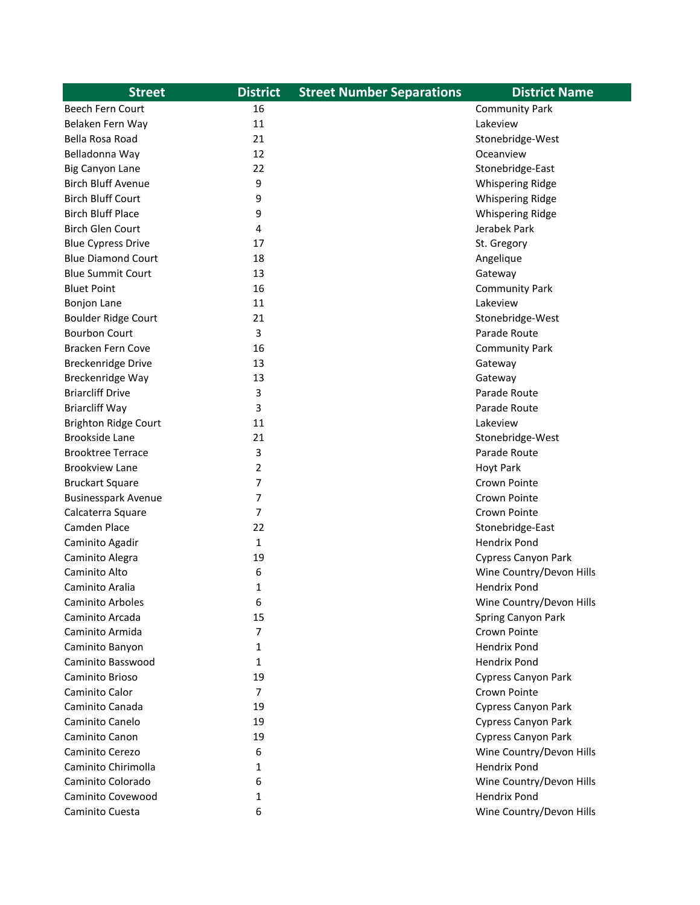| <b>Street</b>               | <b>District</b> | <b>Street Number Separations</b> | <b>District Name</b>       |
|-----------------------------|-----------------|----------------------------------|----------------------------|
| <b>Beech Fern Court</b>     | 16              |                                  | <b>Community Park</b>      |
| Belaken Fern Way            | 11              |                                  | Lakeview                   |
| Bella Rosa Road             | 21              |                                  | Stonebridge-West           |
| Belladonna Way              | 12              |                                  | Oceanview                  |
| <b>Big Canyon Lane</b>      | 22              |                                  | Stonebridge-East           |
| <b>Birch Bluff Avenue</b>   | 9               |                                  | <b>Whispering Ridge</b>    |
| <b>Birch Bluff Court</b>    | 9               |                                  | <b>Whispering Ridge</b>    |
| <b>Birch Bluff Place</b>    | 9               |                                  | <b>Whispering Ridge</b>    |
| <b>Birch Glen Court</b>     | 4               |                                  | Jerabek Park               |
| <b>Blue Cypress Drive</b>   | 17              |                                  | St. Gregory                |
| <b>Blue Diamond Court</b>   | 18              |                                  | Angelique                  |
| <b>Blue Summit Court</b>    | 13              |                                  | Gateway                    |
| <b>Bluet Point</b>          | 16              |                                  | <b>Community Park</b>      |
| <b>Bonjon Lane</b>          | 11              |                                  | Lakeview                   |
| <b>Boulder Ridge Court</b>  | 21              |                                  | Stonebridge-West           |
| <b>Bourbon Court</b>        | 3               |                                  | Parade Route               |
| Bracken Fern Cove           | 16              |                                  | <b>Community Park</b>      |
| <b>Breckenridge Drive</b>   | 13              |                                  | Gateway                    |
| Breckenridge Way            | 13              |                                  | Gateway                    |
| <b>Briarcliff Drive</b>     | 3               |                                  | Parade Route               |
| <b>Briarcliff Way</b>       | 3               |                                  | Parade Route               |
| <b>Brighton Ridge Court</b> | 11              |                                  | Lakeview                   |
| <b>Brookside Lane</b>       | 21              |                                  | Stonebridge-West           |
| <b>Brooktree Terrace</b>    | 3               |                                  | Parade Route               |
| <b>Brookview Lane</b>       | 2               |                                  | Hoyt Park                  |
| <b>Bruckart Square</b>      | 7               |                                  | Crown Pointe               |
| <b>Businesspark Avenue</b>  | 7               |                                  | Crown Pointe               |
| Calcaterra Square           | 7               |                                  | Crown Pointe               |
| Camden Place                | 22              |                                  | Stonebridge-East           |
| Caminito Agadir             | 1               |                                  | <b>Hendrix Pond</b>        |
| Caminito Alegra             | 19              |                                  | <b>Cypress Canyon Park</b> |
| Caminito Alto               | 6               |                                  | Wine Country/Devon Hills   |
| Caminito Aralia             | 1               |                                  | Hendrix Pond               |
| <b>Caminito Arboles</b>     | 6               |                                  | Wine Country/Devon Hills   |
| Caminito Arcada             | 15              |                                  | Spring Canyon Park         |
| Caminito Armida             | 7               |                                  | Crown Pointe               |
| Caminito Banyon             | 1               |                                  | <b>Hendrix Pond</b>        |
| Caminito Basswood           | 1               |                                  | <b>Hendrix Pond</b>        |
| Caminito Brioso             | 19              |                                  | Cypress Canyon Park        |
| Caminito Calor              | 7               |                                  | Crown Pointe               |
| Caminito Canada             | 19              |                                  | <b>Cypress Canyon Park</b> |
| Caminito Canelo             | 19              |                                  | Cypress Canyon Park        |
| Caminito Canon              | 19              |                                  | <b>Cypress Canyon Park</b> |
| Caminito Cerezo             | 6               |                                  | Wine Country/Devon Hills   |
| Caminito Chirimolla         | 1               |                                  | <b>Hendrix Pond</b>        |
| Caminito Colorado           | 6               |                                  | Wine Country/Devon Hills   |
| Caminito Covewood           | 1               |                                  | <b>Hendrix Pond</b>        |
| Caminito Cuesta             | 6               |                                  | Wine Country/Devon Hills   |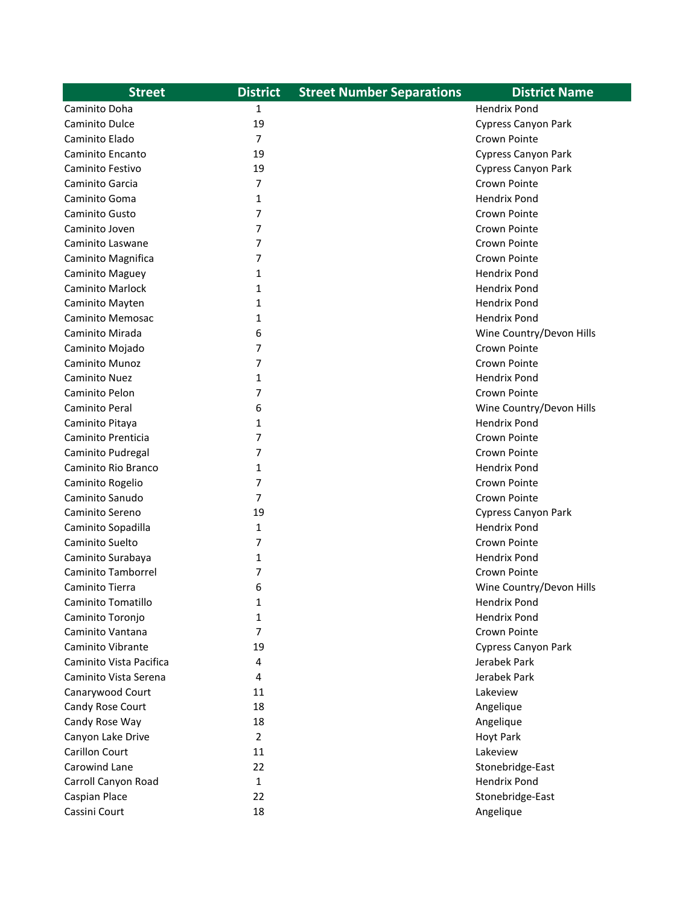| <b>Street</b>             | <b>District</b> | <b>Street Number Separations</b> | <b>District Name</b>       |
|---------------------------|-----------------|----------------------------------|----------------------------|
| Caminito Doha             | 1               |                                  | <b>Hendrix Pond</b>        |
| Caminito Dulce            | 19              |                                  | Cypress Canyon Park        |
| Caminito Elado            | $\overline{7}$  |                                  | Crown Pointe               |
| Caminito Encanto          | 19              |                                  | Cypress Canyon Park        |
| Caminito Festivo          | 19              |                                  | <b>Cypress Canyon Park</b> |
| Caminito Garcia           | 7               |                                  | Crown Pointe               |
| Caminito Goma             | 1               |                                  | <b>Hendrix Pond</b>        |
| Caminito Gusto            | 7               |                                  | Crown Pointe               |
| Caminito Joven            | 7               |                                  | Crown Pointe               |
| Caminito Laswane          | 7               |                                  | Crown Pointe               |
| Caminito Magnifica        | 7               |                                  | Crown Pointe               |
| Caminito Maguey           | 1               |                                  | <b>Hendrix Pond</b>        |
| <b>Caminito Marlock</b>   | 1               |                                  | <b>Hendrix Pond</b>        |
| Caminito Mayten           | 1               |                                  | <b>Hendrix Pond</b>        |
| Caminito Memosac          | 1               |                                  | <b>Hendrix Pond</b>        |
| Caminito Mirada           | 6               |                                  | Wine Country/Devon Hills   |
| Caminito Mojado           | 7               |                                  | Crown Pointe               |
| Caminito Munoz            | 7               |                                  | Crown Pointe               |
| Caminito Nuez             | 1               |                                  | <b>Hendrix Pond</b>        |
| Caminito Pelon            | 7               |                                  | Crown Pointe               |
| Caminito Peral            | 6               |                                  | Wine Country/Devon Hills   |
| Caminito Pitaya           | 1               |                                  | <b>Hendrix Pond</b>        |
| Caminito Prenticia        | 7               |                                  | Crown Pointe               |
| Caminito Pudregal         | 7               |                                  | Crown Pointe               |
| Caminito Rio Branco       | 1               |                                  | <b>Hendrix Pond</b>        |
| Caminito Rogelio          | 7               |                                  | Crown Pointe               |
| Caminito Sanudo           | 7               |                                  | Crown Pointe               |
| Caminito Sereno           | 19              |                                  | <b>Cypress Canyon Park</b> |
| Caminito Sopadilla        | 1               |                                  | <b>Hendrix Pond</b>        |
| Caminito Suelto           | 7               |                                  | Crown Pointe               |
| Caminito Surabaya         | 1               |                                  | <b>Hendrix Pond</b>        |
| <b>Caminito Tamborrel</b> | 7               |                                  | Crown Pointe               |
| Caminito Tierra           | 6               |                                  | Wine Country/Devon Hills   |
| Caminito Tomatillo        | 1               |                                  | <b>Hendrix Pond</b>        |
| Caminito Toronjo          | 1               |                                  | Hendrix Pond               |
| Caminito Vantana          | 7               |                                  | Crown Pointe               |
| Caminito Vibrante         | 19              |                                  | Cypress Canyon Park        |
| Caminito Vista Pacifica   | 4               |                                  | Jerabek Park               |
| Caminito Vista Serena     | 4               |                                  | Jerabek Park               |
| Canarywood Court          | 11              |                                  | Lakeview                   |
| Candy Rose Court          | 18              |                                  | Angelique                  |
| Candy Rose Way            | 18              |                                  | Angelique                  |
| Canyon Lake Drive         | 2               |                                  | Hoyt Park                  |
| Carillon Court            | 11              |                                  | Lakeview                   |
| Carowind Lane             | 22              |                                  | Stonebridge-East           |
| Carroll Canyon Road       | 1               |                                  | <b>Hendrix Pond</b>        |
| Caspian Place             | 22              |                                  | Stonebridge-East           |
| Cassini Court             | 18              |                                  | Angelique                  |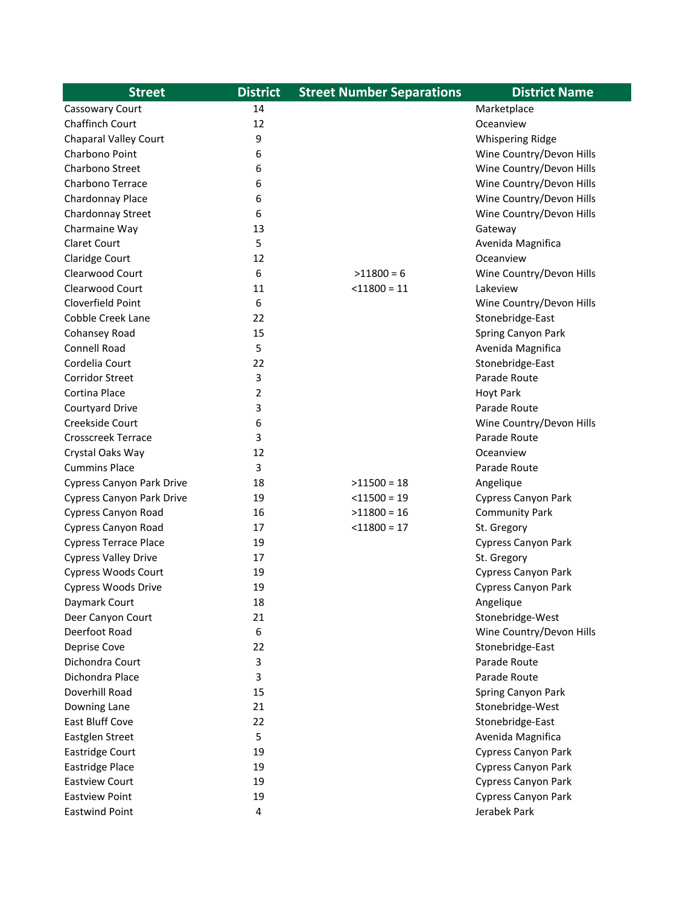| <b>Street</b>                    | <b>District</b> | <b>Street Number Separations</b> | <b>District Name</b>       |
|----------------------------------|-----------------|----------------------------------|----------------------------|
| Cassowary Court                  | 14              |                                  | Marketplace                |
| <b>Chaffinch Court</b>           | 12              |                                  | Oceanview                  |
| <b>Chaparal Valley Court</b>     | 9               |                                  | <b>Whispering Ridge</b>    |
| Charbono Point                   | 6               |                                  | Wine Country/Devon Hills   |
| Charbono Street                  | 6               |                                  | Wine Country/Devon Hills   |
| Charbono Terrace                 | 6               |                                  | Wine Country/Devon Hills   |
| Chardonnay Place                 | 6               |                                  | Wine Country/Devon Hills   |
| Chardonnay Street                | 6               |                                  | Wine Country/Devon Hills   |
| Charmaine Way                    | 13              |                                  | Gateway                    |
| <b>Claret Court</b>              | 5               |                                  | Avenida Magnifica          |
| Claridge Court                   | 12              |                                  | Oceanview                  |
| Clearwood Court                  | 6               | $>11800 = 6$                     | Wine Country/Devon Hills   |
| Clearwood Court                  | 11              | $<$ 11800 = 11                   | Lakeview                   |
| Cloverfield Point                | 6               |                                  | Wine Country/Devon Hills   |
| Cobble Creek Lane                | 22              |                                  | Stonebridge-East           |
| Cohansey Road                    | 15              |                                  | Spring Canyon Park         |
| Connell Road                     | 5               |                                  | Avenida Magnifica          |
| Cordelia Court                   | 22              |                                  | Stonebridge-East           |
| <b>Corridor Street</b>           | 3               |                                  | Parade Route               |
| Cortina Place                    | 2               |                                  | <b>Hoyt Park</b>           |
| Courtyard Drive                  | 3               |                                  | Parade Route               |
| Creekside Court                  | 6               |                                  | Wine Country/Devon Hills   |
| Crosscreek Terrace               | 3               |                                  | Parade Route               |
| Crystal Oaks Way                 | 12              |                                  | Oceanview                  |
| <b>Cummins Place</b>             | 3               |                                  | Parade Route               |
| <b>Cypress Canyon Park Drive</b> | 18              | $>11500 = 18$                    | Angelique                  |
| <b>Cypress Canyon Park Drive</b> | 19              | $<$ 11500 = 19                   | <b>Cypress Canyon Park</b> |
| Cypress Canyon Road              | 16              | $>11800 = 16$                    | <b>Community Park</b>      |
| Cypress Canyon Road              | 17              | $<$ 11800 = 17                   | St. Gregory                |
| <b>Cypress Terrace Place</b>     | 19              |                                  | Cypress Canyon Park        |
| <b>Cypress Valley Drive</b>      | 17              |                                  | St. Gregory                |
| <b>Cypress Woods Court</b>       | 19              |                                  | Cypress Canyon Park        |
| <b>Cypress Woods Drive</b>       | 19              |                                  | Cypress Canyon Park        |
| Daymark Court                    | 18              |                                  | Angelique                  |
| Deer Canyon Court                | 21              |                                  | Stonebridge-West           |
| Deerfoot Road                    | 6               |                                  | Wine Country/Devon Hills   |
| Deprise Cove                     | 22              |                                  | Stonebridge-East           |
| Dichondra Court                  | 3               |                                  | Parade Route               |
| Dichondra Place                  | 3               |                                  | Parade Route               |
| Doverhill Road                   | 15              |                                  | Spring Canyon Park         |
| Downing Lane                     | 21              |                                  | Stonebridge-West           |
| East Bluff Cove                  | 22              |                                  | Stonebridge-East           |
| Eastglen Street                  | 5               |                                  | Avenida Magnifica          |
| <b>Eastridge Court</b>           | 19              |                                  | Cypress Canyon Park        |
| <b>Eastridge Place</b>           | 19              |                                  | Cypress Canyon Park        |
| <b>Eastview Court</b>            | 19              |                                  | <b>Cypress Canyon Park</b> |
| <b>Eastview Point</b>            | 19              |                                  | <b>Cypress Canyon Park</b> |
| <b>Eastwind Point</b>            | 4               |                                  | Jerabek Park               |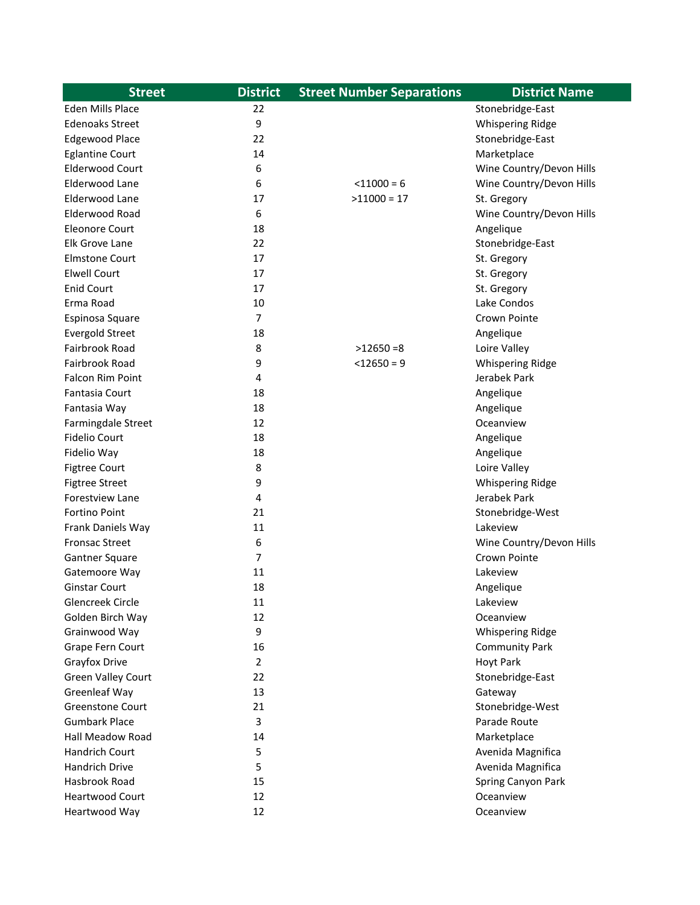| <b>Street</b>             | <b>District</b> | <b>Street Number Separations</b> | <b>District Name</b>     |
|---------------------------|-----------------|----------------------------------|--------------------------|
| Eden Mills Place          | 22              |                                  | Stonebridge-East         |
| <b>Edenoaks Street</b>    | 9               |                                  | <b>Whispering Ridge</b>  |
| <b>Edgewood Place</b>     | 22              |                                  | Stonebridge-East         |
| <b>Eglantine Court</b>    | 14              |                                  | Marketplace              |
| <b>Elderwood Court</b>    | 6               |                                  | Wine Country/Devon Hills |
| Elderwood Lane            | 6               | $< 11000 = 6$                    | Wine Country/Devon Hills |
| Elderwood Lane            | 17              | $>11000 = 17$                    | St. Gregory              |
| Elderwood Road            | 6               |                                  | Wine Country/Devon Hills |
| <b>Eleonore Court</b>     | 18              |                                  | Angelique                |
| Elk Grove Lane            | 22              |                                  | Stonebridge-East         |
| <b>Elmstone Court</b>     | 17              |                                  | St. Gregory              |
| <b>Elwell Court</b>       | 17              |                                  | St. Gregory              |
| <b>Enid Court</b>         | 17              |                                  | St. Gregory              |
| Erma Road                 | 10              |                                  | Lake Condos              |
| Espinosa Square           | $\overline{7}$  |                                  | Crown Pointe             |
| <b>Evergold Street</b>    | 18              |                                  | Angelique                |
| Fairbrook Road            | 8               | $>12650=8$                       | Loire Valley             |
| Fairbrook Road            | 9               | $<$ 12650 = 9                    | <b>Whispering Ridge</b>  |
| Falcon Rim Point          | 4               |                                  | Jerabek Park             |
| <b>Fantasia Court</b>     | 18              |                                  | Angelique                |
| Fantasia Way              | 18              |                                  | Angelique                |
| Farmingdale Street        | 12              |                                  | Oceanview                |
| <b>Fidelio Court</b>      | 18              |                                  | Angelique                |
| Fidelio Way               | 18              |                                  | Angelique                |
| <b>Figtree Court</b>      | 8               |                                  | Loire Valley             |
| <b>Figtree Street</b>     | 9               |                                  | <b>Whispering Ridge</b>  |
| Forestview Lane           | 4               |                                  | Jerabek Park             |
| <b>Fortino Point</b>      | 21              |                                  | Stonebridge-West         |
| Frank Daniels Way         | 11              |                                  | Lakeview                 |
| <b>Fronsac Street</b>     | 6               |                                  | Wine Country/Devon Hills |
| Gantner Square            | 7               |                                  | Crown Pointe             |
| Gatemoore Way             | 11              |                                  | Lakeview                 |
| <b>Ginstar Court</b>      | 18              |                                  | Angelique                |
| Glencreek Circle          | 11              |                                  | Lakeview                 |
| Golden Birch Way          | 12              |                                  | Oceanview                |
| Grainwood Way             | 9               |                                  | <b>Whispering Ridge</b>  |
| Grape Fern Court          | 16              |                                  | <b>Community Park</b>    |
| Grayfox Drive             | $\overline{2}$  |                                  | <b>Hoyt Park</b>         |
| <b>Green Valley Court</b> | 22              |                                  | Stonebridge-East         |
| Greenleaf Way             | 13              |                                  | Gateway                  |
| <b>Greenstone Court</b>   | 21              |                                  | Stonebridge-West         |
| <b>Gumbark Place</b>      | 3               |                                  | Parade Route             |
| <b>Hall Meadow Road</b>   | 14              |                                  | Marketplace              |
| Handrich Court            | 5               |                                  | Avenida Magnifica        |
| Handrich Drive            | 5               |                                  | Avenida Magnifica        |
| Hasbrook Road             | 15              |                                  | Spring Canyon Park       |
| <b>Heartwood Court</b>    | 12              |                                  | Oceanview                |
| Heartwood Way             | 12              |                                  | Oceanview                |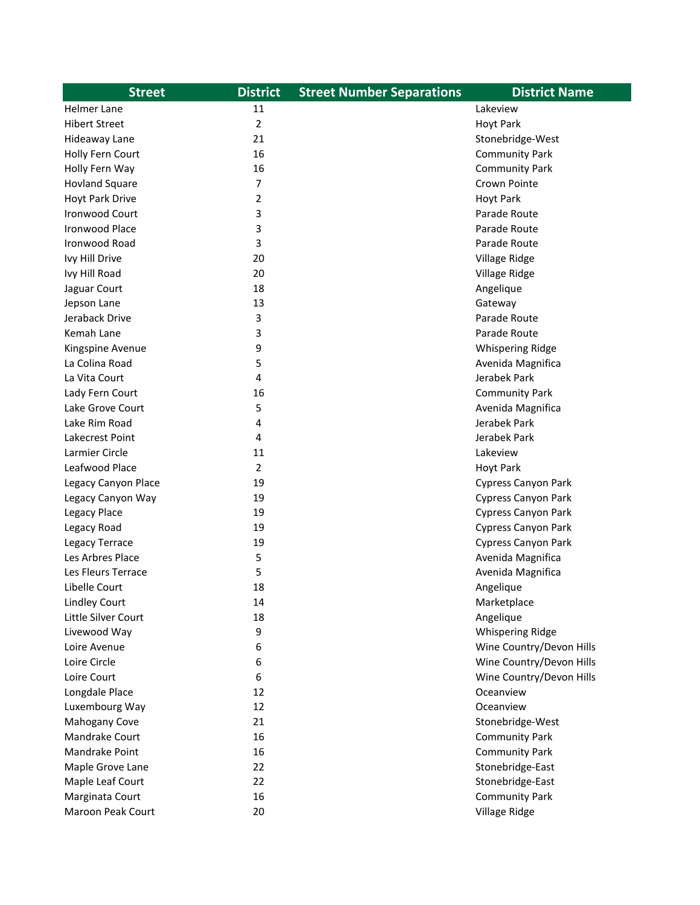| <b>Street</b>         | <b>District</b> | <b>Street Number Separations</b> | <b>District Name</b>       |
|-----------------------|-----------------|----------------------------------|----------------------------|
| Helmer Lane           | 11              |                                  | Lakeview                   |
| <b>Hibert Street</b>  | $\overline{2}$  |                                  | <b>Hoyt Park</b>           |
| Hideaway Lane         | 21              |                                  | Stonebridge-West           |
| Holly Fern Court      | 16              |                                  | <b>Community Park</b>      |
| Holly Fern Way        | 16              |                                  | <b>Community Park</b>      |
| <b>Hovland Square</b> | 7               |                                  | Crown Pointe               |
| Hoyt Park Drive       | 2               |                                  | <b>Hoyt Park</b>           |
| <b>Ironwood Court</b> | 3               |                                  | Parade Route               |
| <b>Ironwood Place</b> | 3               |                                  | Parade Route               |
| Ironwood Road         | 3               |                                  | Parade Route               |
| Ivy Hill Drive        | 20              |                                  | Village Ridge              |
| Ivy Hill Road         | 20              |                                  | Village Ridge              |
| Jaguar Court          | 18              |                                  | Angelique                  |
| Jepson Lane           | 13              |                                  | Gateway                    |
| Jeraback Drive        | 3               |                                  | Parade Route               |
| Kemah Lane            | 3               |                                  | Parade Route               |
| Kingspine Avenue      | 9               |                                  | <b>Whispering Ridge</b>    |
| La Colina Road        | 5               |                                  | Avenida Magnifica          |
| La Vita Court         | 4               |                                  | Jerabek Park               |
| Lady Fern Court       | 16              |                                  | <b>Community Park</b>      |
| Lake Grove Court      | 5               |                                  | Avenida Magnifica          |
| Lake Rim Road         | 4               |                                  | Jerabek Park               |
| Lakecrest Point       | 4               |                                  | Jerabek Park               |
| Larmier Circle        | 11              |                                  | Lakeview                   |
| Leafwood Place        | $\overline{2}$  |                                  | <b>Hoyt Park</b>           |
| Legacy Canyon Place   | 19              |                                  | Cypress Canyon Park        |
| Legacy Canyon Way     | 19              |                                  | <b>Cypress Canyon Park</b> |
| Legacy Place          | 19              |                                  | <b>Cypress Canyon Park</b> |
| Legacy Road           | 19              |                                  | <b>Cypress Canyon Park</b> |
| Legacy Terrace        | 19              |                                  | <b>Cypress Canyon Park</b> |
| Les Arbres Place      | 5               |                                  | Avenida Magnifica          |
| Les Fleurs Terrace    | 5               |                                  | Avenida Magnifica          |
| Libelle Court         | 18              |                                  | Angelique                  |
| <b>Lindley Court</b>  | 14              |                                  | Marketplace                |
| Little Silver Court   | 18              |                                  | Angelique                  |
| Livewood Way          | 9               |                                  | Whispering Ridge           |
| Loire Avenue          | 6               |                                  | Wine Country/Devon Hills   |
| Loire Circle          | 6               |                                  | Wine Country/Devon Hills   |
| Loire Court           | 6               |                                  | Wine Country/Devon Hills   |
| Longdale Place        | 12              |                                  | Oceanview                  |
| Luxembourg Way        | 12              |                                  | Oceanview                  |
| Mahogany Cove         | 21              |                                  | Stonebridge-West           |
| Mandrake Court        | 16              |                                  | <b>Community Park</b>      |
| Mandrake Point        | 16              |                                  | <b>Community Park</b>      |
| Maple Grove Lane      | 22              |                                  | Stonebridge-East           |
| Maple Leaf Court      | 22              |                                  | Stonebridge-East           |
| Marginata Court       | 16              |                                  | <b>Community Park</b>      |
| Maroon Peak Court     | 20              |                                  | Village Ridge              |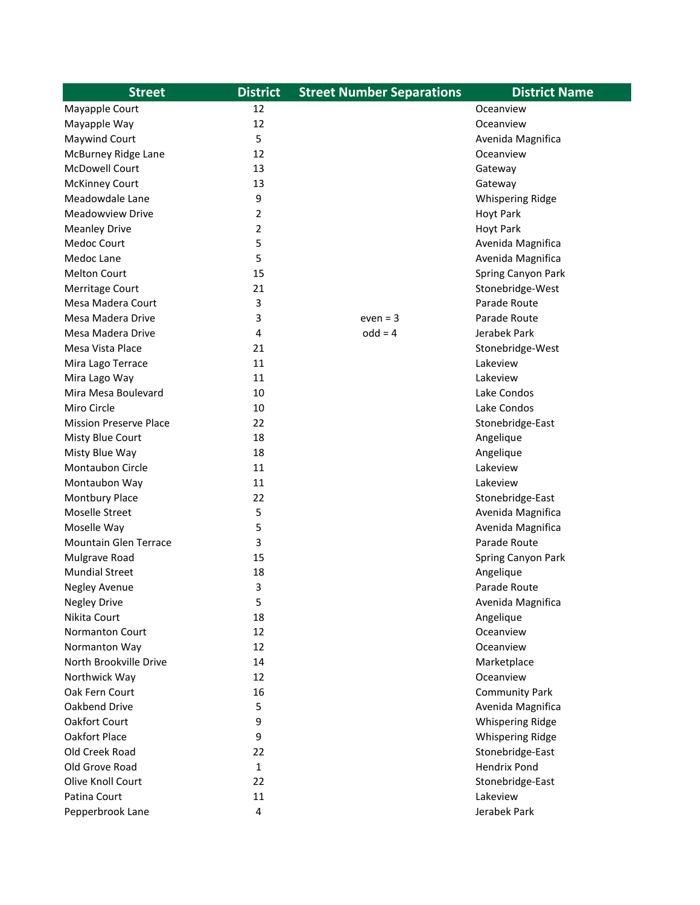| <b>Street</b>                 | <b>District</b>         | <b>Street Number Separations</b> | <b>District Name</b>    |
|-------------------------------|-------------------------|----------------------------------|-------------------------|
| Mayapple Court                | 12                      |                                  | Oceanview               |
| Mayapple Way                  | 12                      |                                  | Oceanview               |
| <b>Maywind Court</b>          | 5                       |                                  | Avenida Magnifica       |
| McBurney Ridge Lane           | 12                      |                                  | Oceanview               |
| <b>McDowell Court</b>         | 13                      |                                  | Gateway                 |
| <b>McKinney Court</b>         | 13                      |                                  | Gateway                 |
| Meadowdale Lane               | 9                       |                                  | <b>Whispering Ridge</b> |
| <b>Meadowview Drive</b>       | 2                       |                                  | <b>Hoyt Park</b>        |
| <b>Meanley Drive</b>          | 2                       |                                  | <b>Hoyt Park</b>        |
| Medoc Court                   | 5                       |                                  | Avenida Magnifica       |
| Medoc Lane                    | 5                       |                                  | Avenida Magnifica       |
| <b>Melton Court</b>           | 15                      |                                  | Spring Canyon Park      |
| Merritage Court               | 21                      |                                  | Stonebridge-West        |
| Mesa Madera Court             | 3                       |                                  | Parade Route            |
| Mesa Madera Drive             | 3                       | $even = 3$                       | Parade Route            |
| Mesa Madera Drive             | 4                       | $odd = 4$                        | Jerabek Park            |
| Mesa Vista Place              | 21                      |                                  | Stonebridge-West        |
| Mira Lago Terrace             | 11                      |                                  | Lakeview                |
| Mira Lago Way                 | 11                      |                                  | Lakeview                |
| Mira Mesa Boulevard           | 10                      |                                  | Lake Condos             |
| Miro Circle                   | 10                      |                                  | Lake Condos             |
| <b>Mission Preserve Place</b> | 22                      |                                  | Stonebridge-East        |
| Misty Blue Court              | 18                      |                                  | Angelique               |
| Misty Blue Way                | 18                      |                                  | Angelique               |
| Montaubon Circle              | 11                      |                                  | Lakeview                |
| Montaubon Way                 | 11                      |                                  | Lakeview                |
| <b>Montbury Place</b>         | 22                      |                                  | Stonebridge-East        |
| Moselle Street                | 5                       |                                  | Avenida Magnifica       |
| Moselle Way                   | 5                       |                                  | Avenida Magnifica       |
| <b>Mountain Glen Terrace</b>  | 3                       |                                  | Parade Route            |
| Mulgrave Road                 | 15                      |                                  | Spring Canyon Park      |
| <b>Mundial Street</b>         | 18                      |                                  | Angelique               |
| <b>Negley Avenue</b>          | 3                       |                                  | Parade Route            |
| <b>Negley Drive</b>           | 5                       |                                  | Avenida Magnifica       |
| Nikita Court                  | 18                      |                                  | Angelique               |
| <b>Normanton Court</b>        | 12                      |                                  | Oceanview               |
| Normanton Way                 | 12                      |                                  | Oceanview               |
| North Brookville Drive        | 14                      |                                  | Marketplace             |
| Northwick Way                 | 12                      |                                  | Oceanview               |
| Oak Fern Court                | 16                      |                                  | <b>Community Park</b>   |
| Oakbend Drive                 | 5                       |                                  | Avenida Magnifica       |
| Oakfort Court                 | 9                       |                                  | Whispering Ridge        |
| Oakfort Place                 | 9                       |                                  | <b>Whispering Ridge</b> |
| Old Creek Road                | 22                      |                                  | Stonebridge-East        |
| Old Grove Road                | 1                       |                                  | <b>Hendrix Pond</b>     |
| Olive Knoll Court             | 22                      |                                  | Stonebridge-East        |
| Patina Court                  | 11                      |                                  | Lakeview                |
|                               | $\overline{\mathbf{4}}$ |                                  |                         |
| Pepperbrook Lane              |                         |                                  | Jerabek Park            |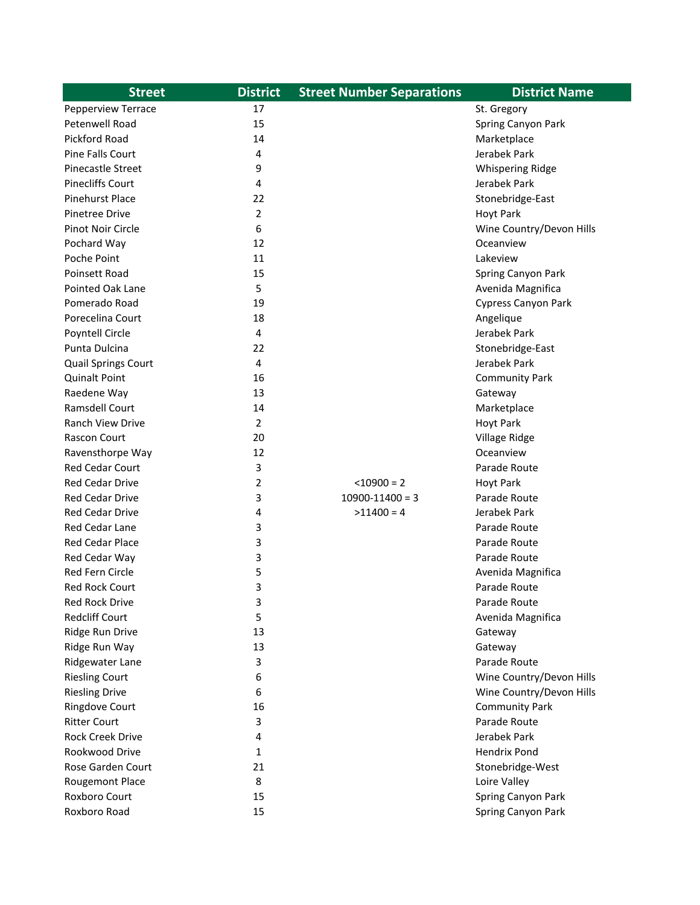| <b>Street</b>              | <b>District</b> | <b>Street Number Separations</b> | <b>District Name</b>     |
|----------------------------|-----------------|----------------------------------|--------------------------|
| Pepperview Terrace         | 17              |                                  | St. Gregory              |
| Petenwell Road             | 15              |                                  | Spring Canyon Park       |
| <b>Pickford Road</b>       | 14              |                                  | Marketplace              |
| Pine Falls Court           | 4               |                                  | Jerabek Park             |
| <b>Pinecastle Street</b>   | 9               |                                  | <b>Whispering Ridge</b>  |
| <b>Pinecliffs Court</b>    | 4               |                                  | Jerabek Park             |
| <b>Pinehurst Place</b>     | 22              |                                  | Stonebridge-East         |
| <b>Pinetree Drive</b>      | 2               |                                  | <b>Hoyt Park</b>         |
| <b>Pinot Noir Circle</b>   | 6               |                                  | Wine Country/Devon Hills |
| Pochard Way                | 12              |                                  | Oceanview                |
| Poche Point                | 11              |                                  | Lakeview                 |
| Poinsett Road              | 15              |                                  | Spring Canyon Park       |
| <b>Pointed Oak Lane</b>    | 5               |                                  | Avenida Magnifica        |
| Pomerado Road              | 19              |                                  | Cypress Canyon Park      |
| Porecelina Court           | 18              |                                  | Angelique                |
| <b>Poyntell Circle</b>     | 4               |                                  | Jerabek Park             |
| Punta Dulcina              | 22              |                                  | Stonebridge-East         |
| <b>Quail Springs Court</b> | 4               |                                  | Jerabek Park             |
| <b>Quinalt Point</b>       | 16              |                                  | <b>Community Park</b>    |
| Raedene Way                | 13              |                                  | Gateway                  |
| <b>Ramsdell Court</b>      | 14              |                                  | Marketplace              |
| <b>Ranch View Drive</b>    | 2               |                                  | <b>Hoyt Park</b>         |
| Rascon Court               | 20              |                                  | Village Ridge            |
| Ravensthorpe Way           | 12              |                                  | Oceanview                |
| <b>Red Cedar Court</b>     | 3               |                                  | Parade Route             |
| <b>Red Cedar Drive</b>     | 2               | $<$ 10900 = 2                    | <b>Hoyt Park</b>         |
| Red Cedar Drive            | 3               | $10900 - 11400 = 3$              | Parade Route             |
| <b>Red Cedar Drive</b>     | 4               | $>11400 = 4$                     | Jerabek Park             |
| Red Cedar Lane             | 3               |                                  | Parade Route             |
| Red Cedar Place            | 3               |                                  | Parade Route             |
| Red Cedar Way              | 3               |                                  | Parade Route             |
| <b>Red Fern Circle</b>     | 5               |                                  | Avenida Magnifica        |
| <b>Red Rock Court</b>      | 3               |                                  | Parade Route             |
| <b>Red Rock Drive</b>      | 3               |                                  | Parade Route             |
| <b>Redcliff Court</b>      | 5               |                                  | Avenida Magnifica        |
| Ridge Run Drive            | 13              |                                  | Gateway                  |
| Ridge Run Way              | 13              |                                  | Gateway                  |
| Ridgewater Lane            | 3               |                                  | Parade Route             |
| <b>Riesling Court</b>      | 6               |                                  | Wine Country/Devon Hills |
| <b>Riesling Drive</b>      | 6               |                                  | Wine Country/Devon Hills |
| <b>Ringdove Court</b>      | 16              |                                  | <b>Community Park</b>    |
| <b>Ritter Court</b>        | 3               |                                  | Parade Route             |
| <b>Rock Creek Drive</b>    | 4               |                                  | Jerabek Park             |
| Rookwood Drive             | 1               |                                  | <b>Hendrix Pond</b>      |
| Rose Garden Court          | 21              |                                  | Stonebridge-West         |
| <b>Rougemont Place</b>     | 8               |                                  | Loire Valley             |
| Roxboro Court              | 15              |                                  | Spring Canyon Park       |
| Roxboro Road               | 15              |                                  | Spring Canyon Park       |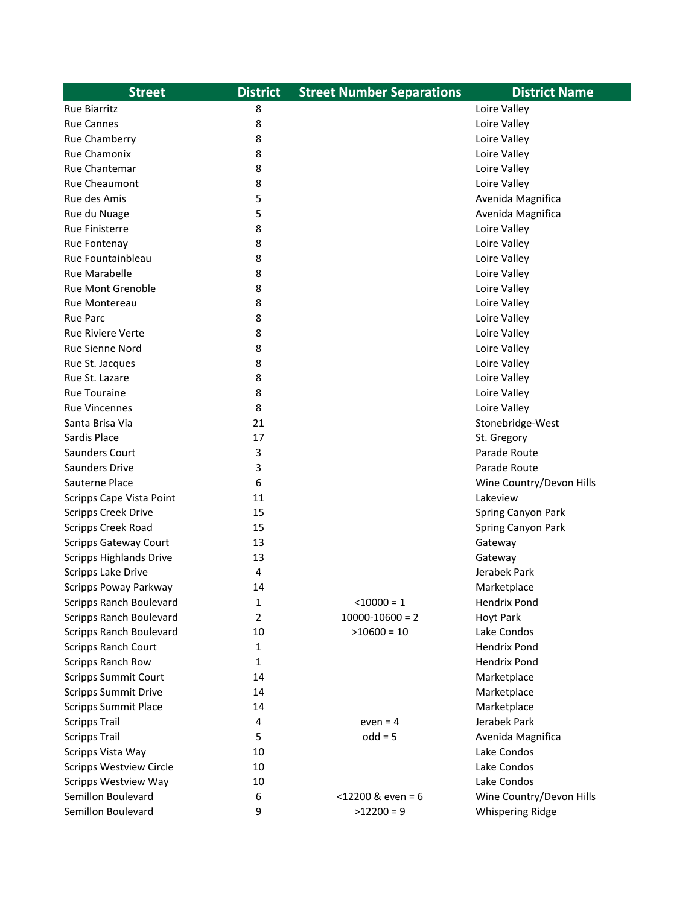| <b>Street</b>                  | <b>District</b> | <b>Street Number Separations</b> | <b>District Name</b>     |
|--------------------------------|-----------------|----------------------------------|--------------------------|
| <b>Rue Biarritz</b>            | 8               |                                  | Loire Valley             |
| <b>Rue Cannes</b>              | 8               |                                  | Loire Valley             |
| Rue Chamberry                  | 8               |                                  | Loire Valley             |
| <b>Rue Chamonix</b>            | 8               |                                  | Loire Valley             |
| <b>Rue Chantemar</b>           | 8               |                                  | Loire Valley             |
| Rue Cheaumont                  | 8               |                                  | Loire Valley             |
| Rue des Amis                   | 5               |                                  | Avenida Magnifica        |
| Rue du Nuage                   | 5               |                                  | Avenida Magnifica        |
| <b>Rue Finisterre</b>          | 8               |                                  | Loire Valley             |
| Rue Fontenay                   | 8               |                                  | Loire Valley             |
| Rue Fountainbleau              | 8               |                                  | Loire Valley             |
| <b>Rue Marabelle</b>           | 8               |                                  | Loire Valley             |
| <b>Rue Mont Grenoble</b>       | 8               |                                  | Loire Valley             |
| Rue Montereau                  | 8               |                                  | Loire Valley             |
| <b>Rue Parc</b>                | 8               |                                  | Loire Valley             |
| <b>Rue Riviere Verte</b>       | 8               |                                  | Loire Valley             |
| Rue Sienne Nord                | 8               |                                  | Loire Valley             |
| Rue St. Jacques                | 8               |                                  | Loire Valley             |
| Rue St. Lazare                 | 8               |                                  | Loire Valley             |
| <b>Rue Touraine</b>            | 8               |                                  | Loire Valley             |
| <b>Rue Vincennes</b>           | 8               |                                  | Loire Valley             |
| Santa Brisa Via                | 21              |                                  | Stonebridge-West         |
| Sardis Place                   | 17              |                                  | St. Gregory              |
| Saunders Court                 | 3               |                                  | Parade Route             |
| <b>Saunders Drive</b>          | 3               |                                  | Parade Route             |
| Sauterne Place                 | 6               |                                  | Wine Country/Devon Hills |
| Scripps Cape Vista Point       | 11              |                                  | Lakeview                 |
| <b>Scripps Creek Drive</b>     | 15              |                                  | Spring Canyon Park       |
| Scripps Creek Road             | 15              |                                  | Spring Canyon Park       |
| <b>Scripps Gateway Court</b>   | 13              |                                  | Gateway                  |
| <b>Scripps Highlands Drive</b> | 13              |                                  | Gateway                  |
| Scripps Lake Drive             | 4               |                                  | Jerabek Park             |
| Scripps Poway Parkway          | 14              |                                  | Marketplace              |
| <b>Scripps Ranch Boulevard</b> | 1               | $< 10000 = 1$                    | <b>Hendrix Pond</b>      |
| <b>Scripps Ranch Boulevard</b> | 2               | $10000 - 10600 = 2$              | <b>Hoyt Park</b>         |
| <b>Scripps Ranch Boulevard</b> | 10              | $>10600 = 10$                    | Lake Condos              |
| <b>Scripps Ranch Court</b>     | 1               |                                  | <b>Hendrix Pond</b>      |
| Scripps Ranch Row              | 1               |                                  | <b>Hendrix Pond</b>      |
| <b>Scripps Summit Court</b>    | 14              |                                  | Marketplace              |
| <b>Scripps Summit Drive</b>    | 14              |                                  | Marketplace              |
| <b>Scripps Summit Place</b>    | 14              |                                  | Marketplace              |
| <b>Scripps Trail</b>           | 4               | even $= 4$                       | Jerabek Park             |
| <b>Scripps Trail</b>           | 5               | $odd = 5$                        | Avenida Magnifica        |
| Scripps Vista Way              | 10              |                                  | Lake Condos              |
| <b>Scripps Westview Circle</b> | 10              |                                  | Lake Condos              |
| <b>Scripps Westview Way</b>    | 10              |                                  | Lake Condos              |
| Semillon Boulevard             | 6               | $<$ 12200 & even = 6             | Wine Country/Devon Hills |
| Semillon Boulevard             | 9               | $>12200 = 9$                     | Whispering Ridge         |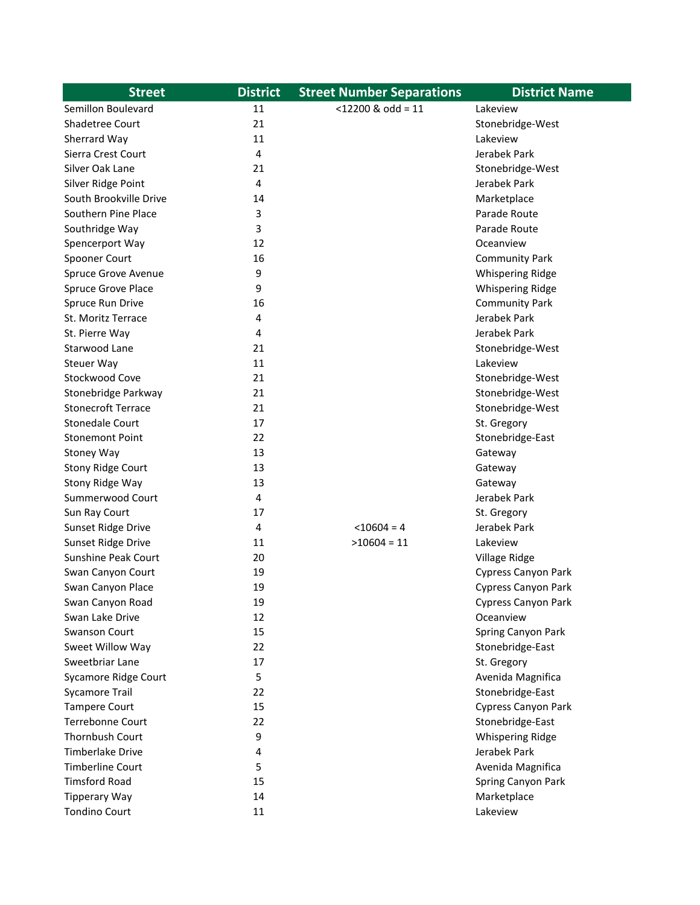| <b>Street</b>             | <b>District</b> | <b>Street Number Separations</b> | <b>District Name</b>       |
|---------------------------|-----------------|----------------------------------|----------------------------|
| Semillon Boulevard        | 11              | $<$ 12200 & odd = 11             | Lakeview                   |
| Shadetree Court           | 21              |                                  | Stonebridge-West           |
| Sherrard Way              | 11              |                                  | Lakeview                   |
| Sierra Crest Court        | 4               |                                  | Jerabek Park               |
| Silver Oak Lane           | 21              |                                  | Stonebridge-West           |
| Silver Ridge Point        | 4               |                                  | Jerabek Park               |
| South Brookville Drive    | 14              |                                  | Marketplace                |
| Southern Pine Place       | 3               |                                  | Parade Route               |
| Southridge Way            | 3               |                                  | Parade Route               |
| Spencerport Way           | 12              |                                  | Oceanview                  |
| Spooner Court             | 16              |                                  | <b>Community Park</b>      |
| Spruce Grove Avenue       | 9               |                                  | <b>Whispering Ridge</b>    |
| Spruce Grove Place        | 9               |                                  | <b>Whispering Ridge</b>    |
| Spruce Run Drive          | 16              |                                  | <b>Community Park</b>      |
| St. Moritz Terrace        | 4               |                                  | Jerabek Park               |
| St. Pierre Way            | 4               |                                  | Jerabek Park               |
| Starwood Lane             | 21              |                                  | Stonebridge-West           |
| Steuer Way                | 11              |                                  | Lakeview                   |
| Stockwood Cove            | 21              |                                  | Stonebridge-West           |
| Stonebridge Parkway       | 21              |                                  | Stonebridge-West           |
| <b>Stonecroft Terrace</b> | 21              |                                  | Stonebridge-West           |
| <b>Stonedale Court</b>    | 17              |                                  | St. Gregory                |
| <b>Stonemont Point</b>    | 22              |                                  | Stonebridge-East           |
| Stoney Way                | 13              |                                  | Gateway                    |
| <b>Stony Ridge Court</b>  | 13              |                                  | Gateway                    |
| Stony Ridge Way           | 13              |                                  | Gateway                    |
| Summerwood Court          | 4               |                                  | Jerabek Park               |
| Sun Ray Court             | 17              |                                  | St. Gregory                |
| Sunset Ridge Drive        | 4               | $< 10604 = 4$                    | Jerabek Park               |
| Sunset Ridge Drive        | 11              | $>10604 = 11$                    | Lakeview                   |
| Sunshine Peak Court       | 20              |                                  | Village Ridge              |
| Swan Canyon Court         | 19              |                                  | <b>Cypress Canyon Park</b> |
| Swan Canyon Place         | 19              |                                  | <b>Cypress Canyon Park</b> |
| Swan Canyon Road          | 19              |                                  | Cypress Canyon Park        |
| Swan Lake Drive           | 12              |                                  | Oceanview                  |
| Swanson Court             | 15              |                                  | Spring Canyon Park         |
| Sweet Willow Way          | 22              |                                  | Stonebridge-East           |
| Sweetbriar Lane           | 17              |                                  | St. Gregory                |
| Sycamore Ridge Court      | 5               |                                  | Avenida Magnifica          |
| <b>Sycamore Trail</b>     | 22              |                                  | Stonebridge-East           |
| <b>Tampere Court</b>      | 15              |                                  | <b>Cypress Canyon Park</b> |
| Terrebonne Court          | 22              |                                  | Stonebridge-East           |
| Thornbush Court           | 9               |                                  | <b>Whispering Ridge</b>    |
| <b>Timberlake Drive</b>   | 4               |                                  | Jerabek Park               |
| <b>Timberline Court</b>   | 5               |                                  | Avenida Magnifica          |
| <b>Timsford Road</b>      | 15              |                                  | Spring Canyon Park         |
| <b>Tipperary Way</b>      | 14              |                                  | Marketplace                |
| <b>Tondino Court</b>      | 11              |                                  | Lakeview                   |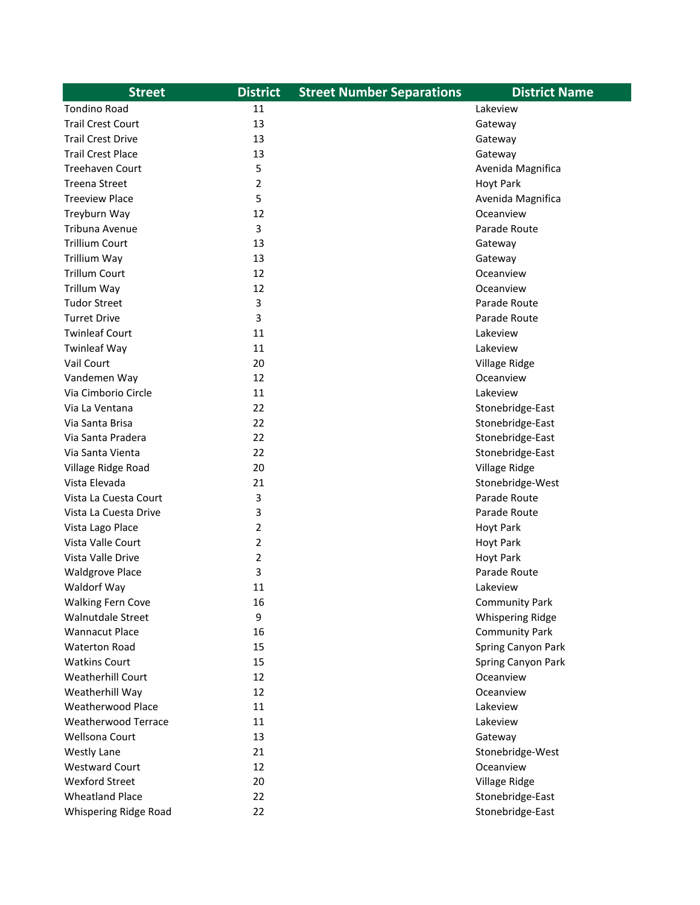| <b>Street</b>            | <b>District</b> | <b>Street Number Separations</b> | <b>District Name</b>              |
|--------------------------|-----------------|----------------------------------|-----------------------------------|
| <b>Tondino Road</b>      | 11              |                                  | Lakeview                          |
| <b>Trail Crest Court</b> | 13              |                                  | Gateway                           |
| <b>Trail Crest Drive</b> | 13              |                                  | Gateway                           |
| <b>Trail Crest Place</b> | 13              |                                  | Gateway                           |
| <b>Treehaven Court</b>   | 5               |                                  | Avenida Magnifica                 |
| <b>Treena Street</b>     | $\overline{2}$  |                                  | <b>Hoyt Park</b>                  |
| <b>Treeview Place</b>    | 5               |                                  | Avenida Magnifica                 |
| Treyburn Way             | 12              |                                  | Oceanview                         |
| Tribuna Avenue           | 3               |                                  | Parade Route                      |
| <b>Trillium Court</b>    | 13              |                                  | Gateway                           |
| Trillium Way             | 13              |                                  | Gateway                           |
| <b>Trillum Court</b>     | 12              |                                  | Oceanview                         |
| Trillum Way              | 12              |                                  | Oceanview                         |
| <b>Tudor Street</b>      | 3               |                                  | Parade Route                      |
| <b>Turret Drive</b>      | 3               |                                  | Parade Route                      |
| <b>Twinleaf Court</b>    | 11              |                                  | Lakeview                          |
| <b>Twinleaf Way</b>      | 11              |                                  | Lakeview                          |
| Vail Court               | 20              |                                  | Village Ridge                     |
| Vandemen Way             | 12              |                                  | Oceanview                         |
| Via Cimborio Circle      | 11              |                                  | Lakeview                          |
| Via La Ventana           | 22              |                                  | Stonebridge-East                  |
| Via Santa Brisa          | 22              |                                  | Stonebridge-East                  |
| Via Santa Pradera        | 22              |                                  | Stonebridge-East                  |
| Via Santa Vienta         | 22              |                                  | Stonebridge-East                  |
| Village Ridge Road       | 20              |                                  | Village Ridge                     |
| Vista Elevada            | 21              |                                  | Stonebridge-West                  |
| Vista La Cuesta Court    | 3               |                                  | Parade Route                      |
| Vista La Cuesta Drive    | 3               |                                  | Parade Route                      |
| Vista Lago Place         | 2               |                                  | <b>Hoyt Park</b>                  |
| Vista Valle Court        | 2               |                                  | <b>Hoyt Park</b>                  |
| Vista Valle Drive        | 2               |                                  | <b>Hoyt Park</b>                  |
| <b>Waldgrove Place</b>   | 3               |                                  | Parade Route                      |
| Waldorf Way              | 11              |                                  | Lakeview                          |
| <b>Walking Fern Cove</b> | 16              |                                  | <b>Community Park</b>             |
| Walnutdale Street        | 9               |                                  | <b>Whispering Ridge</b>           |
| <b>Wannacut Place</b>    | 16              |                                  | <b>Community Park</b>             |
| <b>Waterton Road</b>     | 15              |                                  | Spring Canyon Park                |
| <b>Watkins Court</b>     | 15              |                                  | Spring Canyon Park                |
| Weatherhill Court        | 12              |                                  | Oceanview                         |
| Weatherhill Way          | 12              |                                  | Oceanview                         |
| <b>Weatherwood Place</b> | 11              |                                  | Lakeview                          |
| Weatherwood Terrace      | 11              |                                  | Lakeview                          |
| Wellsona Court           | 13              |                                  | Gateway                           |
| <b>Westly Lane</b>       | 21              |                                  | Stonebridge-West                  |
| <b>Westward Court</b>    | 12              |                                  | Oceanview                         |
| <b>Wexford Street</b>    |                 |                                  |                                   |
|                          |                 |                                  |                                   |
| <b>Wheatland Place</b>   | 20<br>22        |                                  | Village Ridge<br>Stonebridge-East |